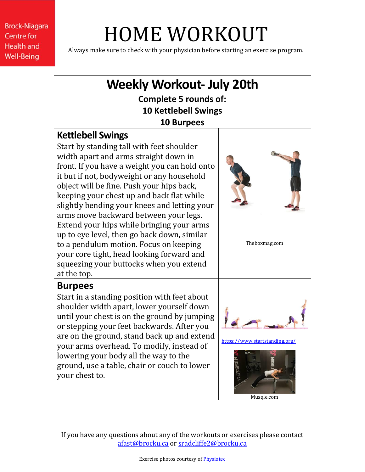**Brock-Niagara Centre for Health and Well-Being** 

# HOME WORKOUT

Always make sure to check with your physician before starting an exercise program.

# **Weekly Workout- July 20th**

**Complete 5 rounds of: 10 Kettlebell Swings 10 Burpees**

#### **Kettlebell Swings**

Start by standing tall with feet shoulder width apart and arms straight down in front. If you have a weight you can hold onto it but if not, bodyweight or any household object will be fine. Push your hips back, keeping your chest up and back flat while slightly bending your knees and letting your arms move backward between your legs. Extend your hips while bringing your arms up to eye level, then go back down, similar to a pendulum motion. Focus on keeping your core tight, head looking forward and squeezing your buttocks when you extend at the top.



Theboxmag.com

## **Burpees**

Start in a standing position with feet about shoulder width apart, lower yourself down until your chest is on the ground by jumping or stepping your feet backwards. After you are on the ground, stand back up and extend your arms overhead. To modify, instead of lowering your body all the way to the ground, use a table, chair or couch to lower your chest to.



<https://www.startstanding.org/>



If you have any questions about any of the workouts or exercises please contact [afast@brocku.ca](mailto:afast@brocku.ca) or [sradcliffe2@brocku.ca](mailto:sradcliffe2@brocku.ca)